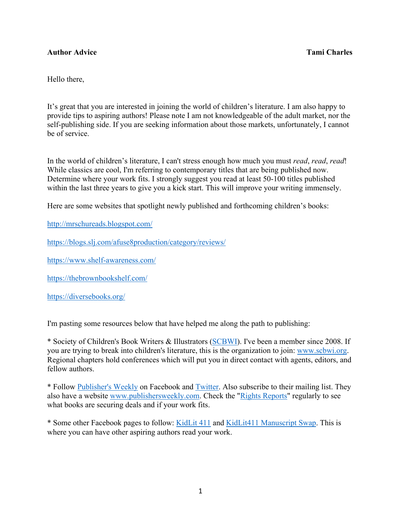## **Author Advice Tami Charles**

Hello there,

It's great that you are interested in joining the world of children's literature. I am also happy to provide tips to aspiring authors! Please note I am not knowledgeable of the adult market, nor the self-publishing side. If you are seeking information about those markets, unfortunately, I cannot be of service.

In the world of children's literature, I can't stress enough how much you must *read*, *read*, *read*! While classics are cool, I'm referring to contemporary titles that are being published now. Determine where your work fits. I strongly suggest you read at least 50-100 titles published within the last three years to give you a kick start. This will improve your writing immensely.

Here are some websites that spotlight newly published and forthcoming children's books:

http://mrschureads.blogspot.com/

https://blogs.slj.com/afuse8production/category/reviews/

https://www.shelf-awareness.com/

https://thebrownbookshelf.com/

https://diversebooks.org/

I'm pasting some resources below that have helped me along the path to publishing:

\* Society of Children's Book Writers & Illustrators (SCBWI). I've been a member since 2008. If you are trying to break into children's literature, this is the organization to join: www.scbwi.org. Regional chapters hold conferences which will put you in direct contact with agents, editors, and fellow authors.

\* Follow Publisher's Weekly on Facebook and Twitter. Also subscribe to their mailing list. They also have a website www.publishersweekly.com. Check the "Rights Reports" regularly to see what books are securing deals and if your work fits.

\* Some other Facebook pages to follow: KidLit 411 and KidLit411 Manuscript Swap. This is where you can have other aspiring authors read your work.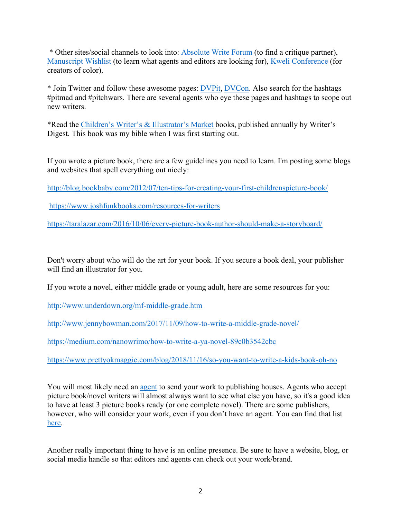\* Other sites/social channels to look into: Absolute Write Forum (to find a critique partner), Manuscript Wishlist (to learn what agents and editors are looking for), Kweli Conference (for creators of color).

\* Join Twitter and follow these awesome pages: DVPit, DVCon. Also search for the hashtags #pitmad and #pitchwars. There are several agents who eye these pages and hashtags to scope out new writers.

\*Read the Children's Writer's & Illustrator's Market books, published annually by Writer's Digest. This book was my bible when I was first starting out.

If you wrote a picture book, there are a few guidelines you need to learn. I'm posting some blogs and websites that spell everything out nicely:

http://blog.bookbaby.com/2012/07/ten-tips-for-creating-your-first-childrenspicture-book/

https://www.joshfunkbooks.com/resources-for-writers

https://taralazar.com/2016/10/06/every-picture-book-author-should-make-a-storyboard/

Don't worry about who will do the art for your book. If you secure a book deal, your publisher will find an illustrator for you.

If you wrote a novel, either middle grade or young adult, here are some resources for you:

http://www.underdown.org/mf-middle-grade.htm

http://www.jennybowman.com/2017/11/09/how-to-write-a-middle-grade-novel/

https://medium.com/nanowrimo/how-to-write-a-ya-novel-89c0b3542cbc

https://www.prettyokmaggie.com/blog/2018/11/16/so-you-want-to-write-a-kids-book-oh-no

You will most likely need an agent to send your work to publishing houses. Agents who accept picture book/novel writers will almost always want to see what else you have, so it's a good idea to have at least 3 picture books ready (or one complete novel). There are some publishers, however, who will consider your work, even if you don't have an agent. You can find that list here.

Another really important thing to have is an online presence. Be sure to have a website, blog, or social media handle so that editors and agents can check out your work/brand.